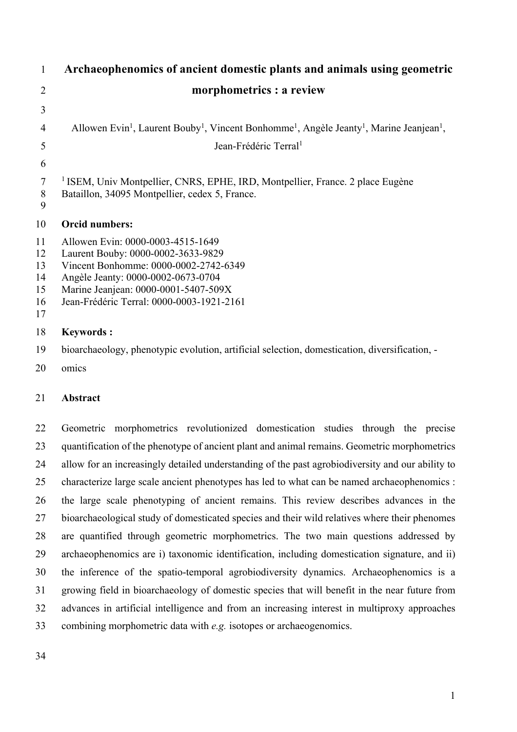| $\mathbf{1}$                           | Archaeophenomics of ancient domestic plants and animals using geometric                                                                                                                                                                     |  |  |  |
|----------------------------------------|---------------------------------------------------------------------------------------------------------------------------------------------------------------------------------------------------------------------------------------------|--|--|--|
| $\overline{2}$                         | morphometrics : a review                                                                                                                                                                                                                    |  |  |  |
| 3                                      |                                                                                                                                                                                                                                             |  |  |  |
| 4                                      | Allowen Evin <sup>1</sup> , Laurent Bouby <sup>1</sup> , Vincent Bonhomme <sup>1</sup> , Angèle Jeanty <sup>1</sup> , Marine Jeanjean <sup>1</sup> ,                                                                                        |  |  |  |
| 5                                      | Jean-Frédéric Terral <sup>1</sup>                                                                                                                                                                                                           |  |  |  |
| 6                                      |                                                                                                                                                                                                                                             |  |  |  |
| $\overline{7}$<br>$8\,$<br>9           | <sup>1</sup> ISEM, Univ Montpellier, CNRS, EPHE, IRD, Montpellier, France. 2 place Eugène<br>Bataillon, 34095 Montpellier, cedex 5, France.                                                                                                 |  |  |  |
| 10                                     | <b>Orcid numbers:</b>                                                                                                                                                                                                                       |  |  |  |
| 11<br>12<br>13<br>14<br>15<br>16<br>17 | Allowen Evin: 0000-0003-4515-1649<br>Laurent Bouby: 0000-0002-3633-9829<br>Vincent Bonhomme: 0000-0002-2742-6349<br>Angèle Jeanty: 0000-0002-0673-0704<br>Marine Jeanjean: 0000-0001-5407-509X<br>Jean-Frédéric Terral: 0000-0003-1921-2161 |  |  |  |
| 18                                     | <b>Keywords:</b>                                                                                                                                                                                                                            |  |  |  |
| 19                                     | bioarchaeology, phenotypic evolution, artificial selection, domestication, diversification, -                                                                                                                                               |  |  |  |
| 20                                     | omics                                                                                                                                                                                                                                       |  |  |  |
| 21                                     | Abstract                                                                                                                                                                                                                                    |  |  |  |
| 22                                     | Geometric morphometrics revolutionized domestication studies through the precise                                                                                                                                                            |  |  |  |

 quantification of the phenotype of ancient plant and animal remains. Geometric morphometrics allow for an increasingly detailed understanding of the past agrobiodiversity and our ability to characterize large scale ancient phenotypes has led to what can be named archaeophenomics : the large scale phenotyping of ancient remains. This review describes advances in the bioarchaeological study of domesticated species and their wild relatives where their phenomes are quantified through geometric morphometrics. The two main questions addressed by archaeophenomics are i) taxonomic identification, including domestication signature, and ii) the inference of the spatio-temporal agrobiodiversity dynamics. Archaeophenomics is a growing field in bioarchaeology of domestic species that will benefit in the near future from advances in artificial intelligence and from an increasing interest in multiproxy approaches combining morphometric data with *e.g.* isotopes or archaeogenomics.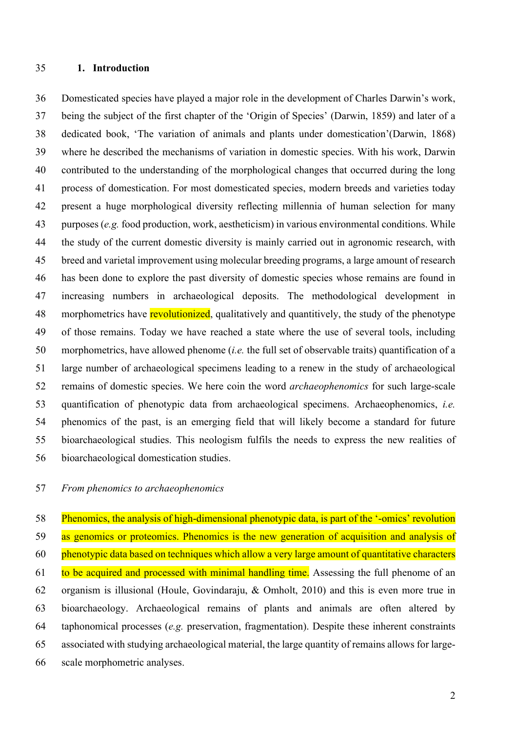#### **1. Introduction**

 Domesticated species have played a major role in the development of Charles Darwin's work, being the subject of the first chapter of the 'Origin of Species' (Darwin, 1859) and later of a dedicated book, 'The variation of animals and plants under domestication'(Darwin, 1868) where he described the mechanisms of variation in domestic species. With his work, Darwin contributed to the understanding of the morphological changes that occurred during the long process of domestication. For most domesticated species, modern breeds and varieties today present a huge morphological diversity reflecting millennia of human selection for many purposes (*e.g.* food production, work, aestheticism) in various environmental conditions. While the study of the current domestic diversity is mainly carried out in agronomic research, with breed and varietal improvement using molecular breeding programs, a large amount of research has been done to explore the past diversity of domestic species whose remains are found in increasing numbers in archaeological deposits. The methodological development in 48 morphometrics have revolutionized, qualitatively and quantitively, the study of the phenotype of those remains. Today we have reached a state where the use of several tools, including morphometrics, have allowed phenome (*i.e.* the full set of observable traits) quantification of a large number of archaeological specimens leading to a renew in the study of archaeological remains of domestic species. We here coin the word *archaeophenomics* for such large-scale quantification of phenotypic data from archaeological specimens. Archaeophenomics, *i.e.* phenomics of the past, is an emerging field that will likely become a standard for future bioarchaeological studies. This neologism fulfils the needs to express the new realities of bioarchaeological domestication studies.

#### *From phenomics to archaeophenomics*

 Phenomics, the analysis of high-dimensional phenotypic data, is part of the '-omics' revolution 59 as genomics or proteomics. Phenomics is the new generation of acquisition and analysis of phenotypic data based on techniques which allow a very large amount of quantitative characters 61 to be acquired and processed with minimal handling time. Assessing the full phenome of an organism is illusional (Houle, Govindaraju, & Omholt, 2010) and this is even more true in bioarchaeology. Archaeological remains of plants and animals are often altered by taphonomical processes (*e.g.* preservation, fragmentation). Despite these inherent constraints associated with studying archaeological material, the large quantity of remains allows for large-scale morphometric analyses.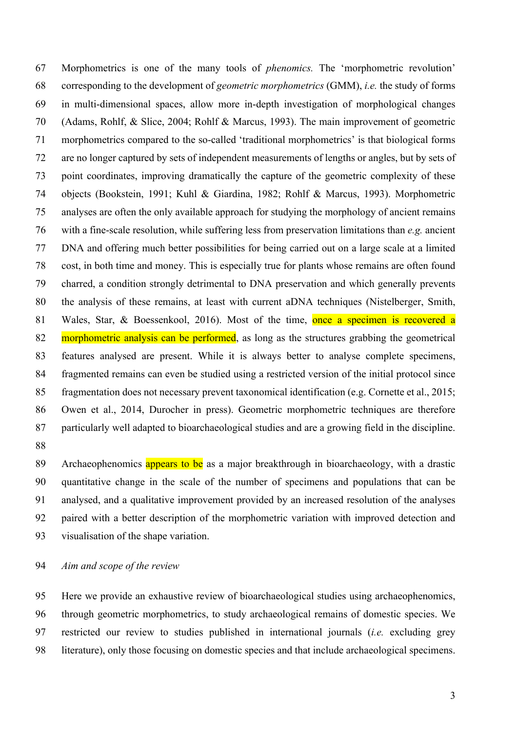Morphometrics is one of the many tools of *phenomics.* The 'morphometric revolution' corresponding to the development of *geometric morphometrics* (GMM), *i.e.* the study of forms in multi-dimensional spaces, allow more in-depth investigation of morphological changes (Adams, Rohlf, & Slice, 2004; Rohlf & Marcus, 1993). The main improvement of geometric morphometrics compared to the so-called 'traditional morphometrics' is that biological forms are no longer captured by sets of independent measurements of lengths or angles, but by sets of point coordinates, improving dramatically the capture of the geometric complexity of these objects (Bookstein, 1991; Kuhl & Giardina, 1982; Rohlf & Marcus, 1993). Morphometric analyses are often the only available approach for studying the morphology of ancient remains with a fine-scale resolution, while suffering less from preservation limitations than *e.g.* ancient DNA and offering much better possibilities for being carried out on a large scale at a limited cost, in both time and money. This is especially true for plants whose remains are often found charred, a condition strongly detrimental to DNA preservation and which generally prevents the analysis of these remains, at least with current aDNA techniques (Nistelberger, Smith, 81 Wales, Star, & Boessenkool, 2016). Most of the time, once a specimen is recovered a 82 morphometric analysis can be performed, as long as the structures grabbing the geometrical features analysed are present. While it is always better to analyse complete specimens, fragmented remains can even be studied using a restricted version of the initial protocol since fragmentation does not necessary prevent taxonomical identification (e.g. Cornette et al., 2015; Owen et al., 2014, Durocher in press). Geometric morphometric techniques are therefore particularly well adapted to bioarchaeological studies and are a growing field in the discipline. 

89 Archaeophenomics appears to be as a major breakthrough in bioarchaeology, with a drastic quantitative change in the scale of the number of specimens and populations that can be analysed, and a qualitative improvement provided by an increased resolution of the analyses paired with a better description of the morphometric variation with improved detection and visualisation of the shape variation.

*Aim and scope of the review*

 Here we provide an exhaustive review of bioarchaeological studies using archaeophenomics, through geometric morphometrics, to study archaeological remains of domestic species. We restricted our review to studies published in international journals (*i.e.* excluding grey literature), only those focusing on domestic species and that include archaeological specimens.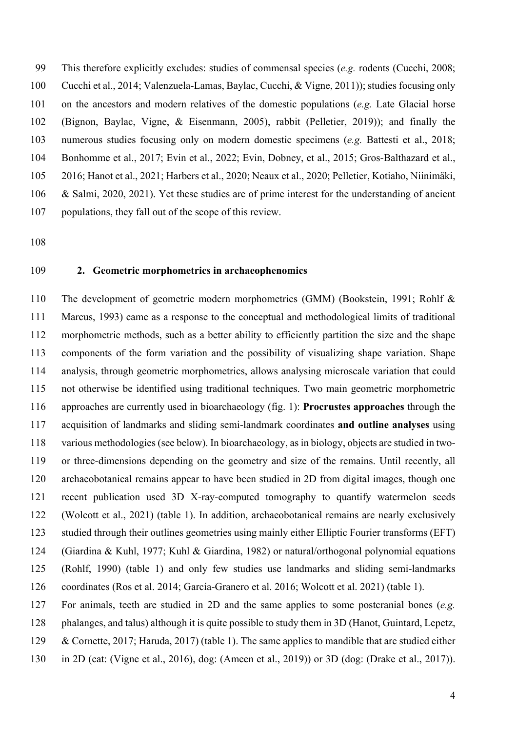This therefore explicitly excludes: studies of commensal species (*e.g.* rodents (Cucchi, 2008; Cucchi et al., 2014; Valenzuela-Lamas, Baylac, Cucchi, & Vigne, 2011)); studies focusing only on the ancestors and modern relatives of the domestic populations (*e.g.* Late Glacial horse (Bignon, Baylac, Vigne, & Eisenmann, 2005), rabbit (Pelletier, 2019)); and finally the numerous studies focusing only on modern domestic specimens (*e.g.* Battesti et al., 2018; Bonhomme et al., 2017; Evin et al., 2022; Evin, Dobney, et al., 2015; Gros-Balthazard et al., 2016; Hanot et al., 2021; Harbers et al., 2020; Neaux et al., 2020; Pelletier, Kotiaho, Niinimäki, & Salmi, 2020, 2021). Yet these studies are of prime interest for the understanding of ancient populations, they fall out of the scope of this review.

#### **2. Geometric morphometrics in archaeophenomics**

 The development of geometric modern morphometrics (GMM) (Bookstein, 1991; Rohlf & Marcus, 1993) came as a response to the conceptual and methodological limits of traditional morphometric methods, such as a better ability to efficiently partition the size and the shape components of the form variation and the possibility of visualizing shape variation. Shape analysis, through geometric morphometrics, allows analysing microscale variation that could not otherwise be identified using traditional techniques. Two main geometric morphometric approaches are currently used in bioarchaeology (fig. 1): **Procrustes approaches** through the acquisition of landmarks and sliding semi-landmark coordinates **and outline analyses** using various methodologies (see below). In bioarchaeology, as in biology, objects are studied in two- or three-dimensions depending on the geometry and size of the remains. Until recently, all archaeobotanical remains appear to have been studied in 2D from digital images, though one recent publication used 3D X-ray-computed tomography to quantify watermelon seeds (Wolcott et al., 2021) (table 1). In addition, archaeobotanical remains are nearly exclusively studied through their outlines geometries using mainly either Elliptic Fourier transforms (EFT) (Giardina & Kuhl, 1977; Kuhl & Giardina, 1982) or natural/orthogonal polynomial equations (Rohlf, 1990) (table 1) and only few studies use landmarks and sliding semi-landmarks coordinates (Ros et al. 2014; García-Granero et al. 2016; Wolcott et al. 2021) (table 1).

For animals, teeth are studied in 2D and the same applies to some postcranial bones (*e.g.*

phalanges, and talus) although it is quite possible to study them in 3D (Hanot, Guintard, Lepetz,

129 & Cornette, 2017; Haruda, 2017) (table 1). The same applies to mandible that are studied either

in 2D (cat: (Vigne et al., 2016), dog: (Ameen et al., 2019)) or 3D (dog: (Drake et al., 2017)).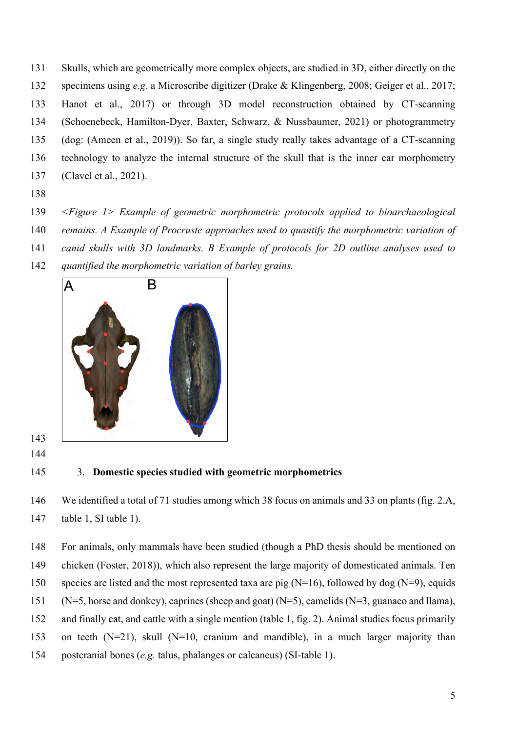- Skulls, which are geometrically more complex objects, are studied in 3D, either directly on the specimens using *e.g.* a Microscribe digitizer (Drake & Klingenberg, 2008; Geiger et al., 2017; Hanot et al., 2017) or through 3D model reconstruction obtained by CT-scanning (Schoenebeck, Hamilton-Dyer, Baxter, Schwarz, & Nussbaumer, 2021) or photogrammetry (dog: (Ameen et al., 2019)). So far, a single study really takes advantage of a CT-scanning technology to analyze the internal structure of the skull that is the inner ear morphometry (Clavel et al., 2021).
- 
- *<Figure 1> Example of geometric morphometric protocols applied to bioarchaeological*
- *remains. A Example of Procruste approaches used to quantify the morphometric variation of*
- *canid skulls with 3D landmarks. B Example of protocols for 2D outline analyses used to*
- *quantified the morphometric variation of barley grains.*



3. **Domestic species studied with geometric morphometrics**

 We identified a total of 71 studies among which 38 focus on animals and 33 on plants (fig. 2.A, table 1, SI table 1).

- For animals, only mammals have been studied (though a PhD thesis should be mentioned on chicken (Foster, 2018)), which also represent the large majority of domesticated animals. Ten 150 species are listed and the most represented taxa are pig  $(N=16)$ , followed by dog  $(N=9)$ , equids (N=5, horse and donkey), caprines (sheep and goat) (N=5), camelids (N=3, guanaco and llama), and finally cat, and cattle with a single mention (table 1, fig. 2). Animal studies focus primarily
- on teeth (N=21), skull (N=10, cranium and mandible), in a much larger majority than
- postcranial bones (*e.g.* talus, phalanges or calcaneus) (SI-table 1).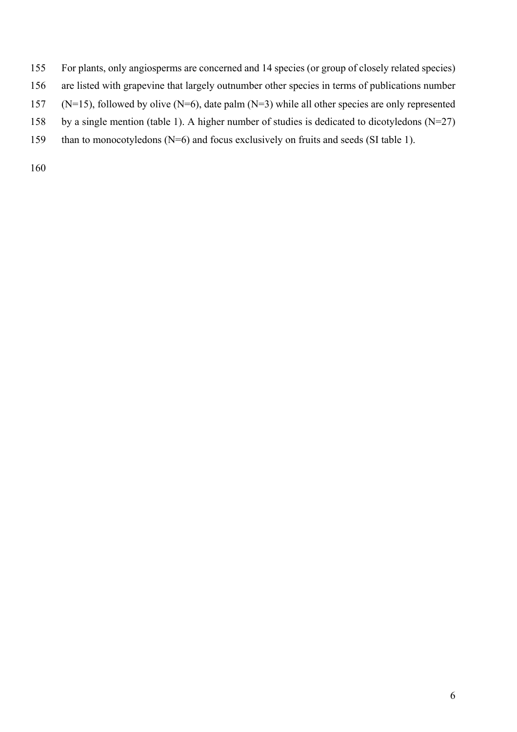- For plants, only angiosperms are concerned and 14 species (or group of closely related species)
- are listed with grapevine that largely outnumber other species in terms of publications number
- 157 (N=15), followed by olive  $(N=6)$ , date palm  $(N=3)$  while all other species are only represented
- by a single mention (table 1). A higher number of studies is dedicated to dicotyledons (N=27)
- 159 than to monocotyledons (N=6) and focus exclusively on fruits and seeds (SI table 1).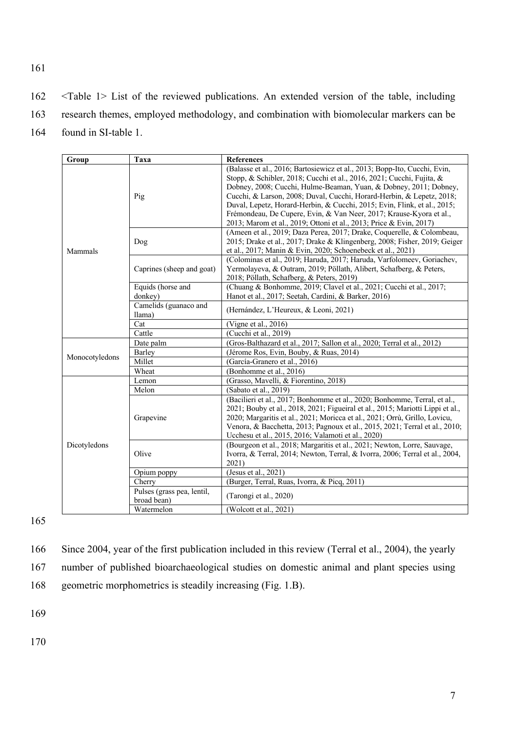162 <Table 1> List of the reviewed publications. An extended version of the table, including 163 research themes, employed methodology, and combination with biomolecular markers can be 164 found in SI-table 1.

| Group          | Taxa                                      | <b>References</b>                                                                                                                                                                                                                                                                                                                                                                                                                                                                                                         |
|----------------|-------------------------------------------|---------------------------------------------------------------------------------------------------------------------------------------------------------------------------------------------------------------------------------------------------------------------------------------------------------------------------------------------------------------------------------------------------------------------------------------------------------------------------------------------------------------------------|
|                | Pig                                       | (Balasse et al., 2016; Bartosiewicz et al., 2013; Bopp-Ito, Cucchi, Evin,<br>Stopp, & Schibler, 2018; Cucchi et al., 2016, 2021; Cucchi, Fujita, &<br>Dobney, 2008; Cucchi, Hulme-Beaman, Yuan, & Dobney, 2011; Dobney,<br>Cucchi, & Larson, 2008; Duval, Cucchi, Horard-Herbin, & Lepetz, 2018;<br>Duval, Lepetz, Horard-Herbin, & Cucchi, 2015; Evin, Flink, et al., 2015;<br>Frémondeau, De Cupere, Evin, & Van Neer, 2017; Krause-Kyora et al.,<br>2013; Marom et al., 2019; Ottoni et al., 2013; Price & Evin, 2017) |
| Mammals        | Dog                                       | (Ameen et al., 2019; Daza Perea, 2017; Drake, Coquerelle, & Colombeau,<br>2015; Drake et al., 2017; Drake & Klingenberg, 2008; Fisher, 2019; Geiger<br>et al., 2017; Manin & Evin, 2020; Schoenebeck et al., 2021)                                                                                                                                                                                                                                                                                                        |
|                | Caprines (sheep and goat)                 | (Colominas et al., 2019; Haruda, 2017; Haruda, Varfolomeev, Goriachev,<br>Yermolayeva, & Outram, 2019; Pöllath, Alibert, Schafberg, & Peters,<br>2018; Pöllath, Schafberg, & Peters, 2019)                                                                                                                                                                                                                                                                                                                                |
|                | Equids (horse and                         | (Chuang & Bonhomme, 2019; Clavel et al., 2021; Cucchi et al., 2017;                                                                                                                                                                                                                                                                                                                                                                                                                                                       |
|                | donkey)                                   | Hanot et al., 2017; Seetah, Cardini, & Barker, 2016)                                                                                                                                                                                                                                                                                                                                                                                                                                                                      |
|                | Camelids (guanaco and<br>llama)           | (Hernández, L'Heureux, & Leoni, 2021)                                                                                                                                                                                                                                                                                                                                                                                                                                                                                     |
|                | Cat                                       | (Vigne et al., 2016)                                                                                                                                                                                                                                                                                                                                                                                                                                                                                                      |
|                | Cattle                                    | (Cucchi et al., 2019)                                                                                                                                                                                                                                                                                                                                                                                                                                                                                                     |
|                | Date palm                                 | (Gros-Balthazard et al., 2017; Sallon et al., 2020; Terral et al., 2012)                                                                                                                                                                                                                                                                                                                                                                                                                                                  |
| Monocotyledons | Barley                                    | (Jérome Ros, Evin, Bouby, & Ruas, 2014)                                                                                                                                                                                                                                                                                                                                                                                                                                                                                   |
|                | Millet                                    | (García-Granero et al., 2016)                                                                                                                                                                                                                                                                                                                                                                                                                                                                                             |
|                | Wheat                                     | (Bonhomme et al., 2016)                                                                                                                                                                                                                                                                                                                                                                                                                                                                                                   |
|                | Lemon                                     | (Grasso, Mavelli, & Fiorentino, 2018)                                                                                                                                                                                                                                                                                                                                                                                                                                                                                     |
|                | Melon                                     | (Sabato et al., 2019)                                                                                                                                                                                                                                                                                                                                                                                                                                                                                                     |
|                | Grapevine                                 | (Bacilieri et al., 2017; Bonhomme et al., 2020; Bonhomme, Terral, et al.,<br>2021; Bouby et al., 2018, 2021; Figueiral et al., 2015; Mariotti Lippi et al.,<br>2020; Margaritis et al., 2021; Moricca et al., 2021; Orrù, Grillo, Lovicu,<br>Venora, & Bacchetta, 2013; Pagnoux et al., 2015, 2021; Terral et al., 2010;<br>Ucchesu et al., 2015, 2016; Valamoti et al., 2020)                                                                                                                                            |
| Dicotyledons   | Olive                                     | (Bourgeon et al., 2018; Margaritis et al., 2021; Newton, Lorre, Sauvage,<br>Ivorra, & Terral, 2014; Newton, Terral, & Ivorra, 2006; Terral et al., 2004,<br>2021)                                                                                                                                                                                                                                                                                                                                                         |
|                | Opium poppy                               | (Jesus et al., 2021)                                                                                                                                                                                                                                                                                                                                                                                                                                                                                                      |
|                | Cherry                                    | (Burger, Terral, Ruas, Ivorra, & Picq, 2011)                                                                                                                                                                                                                                                                                                                                                                                                                                                                              |
|                | Pulses (grass pea, lentil,<br>broad bean) | (Tarongi et al., 2020)                                                                                                                                                                                                                                                                                                                                                                                                                                                                                                    |
|                | Watermelon                                | (Wolcott et al., 2021)                                                                                                                                                                                                                                                                                                                                                                                                                                                                                                    |

165

166 Since 2004, year of the first publication included in this review (Terral et al., 2004), the yearly

167 number of published bioarchaeological studies on domestic animal and plant species using

168 geometric morphometrics is steadily increasing (Fig. 1.B).

169

170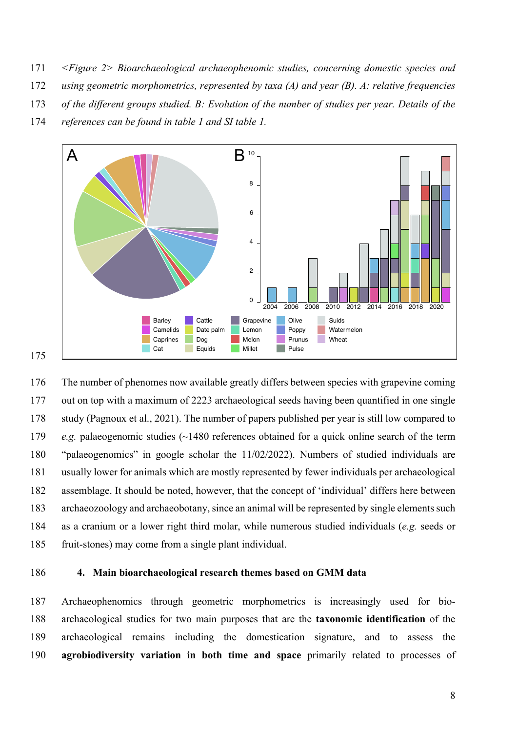- 171 *<Figure 2> Bioarchaeological archaeophenomic studies, concerning domestic species and*
- 172 *using geometric morphometrics, represented by taxa (A) and year (B). A: relative frequencies*
- 173 *of the different groups studied. B: Evolution of the number of studies per year. Details of the*
- 174 *references can be found in table 1 and SI table 1.*



 The number of phenomes now available greatly differs between species with grapevine coming out on top with a maximum of 2223 archaeological seeds having been quantified in one single study (Pagnoux et al., 2021). The number of papers published per year is still low compared to *e.g.* palaeogenomic studies (~1480 references obtained for a quick online search of the term "palaeogenomics" in google scholar the 11/02/2022). Numbers of studied individuals are usually lower for animals which are mostly represented by fewer individuals per archaeological assemblage. It should be noted, however, that the concept of 'individual' differs here between archaeozoology and archaeobotany, since an animal will be represented by single elements such as a cranium or a lower right third molar, while numerous studied individuals (*e.g.* seeds or fruit-stones) may come from a single plant individual.

#### 186 **4. Main bioarchaeological research themes based on GMM data**

 Archaeophenomics through geometric morphometrics is increasingly used for bio- archaeological studies for two main purposes that are the **taxonomic identification** of the archaeological remains including the domestication signature, and to assess the **agrobiodiversity variation in both time and space** primarily related to processes of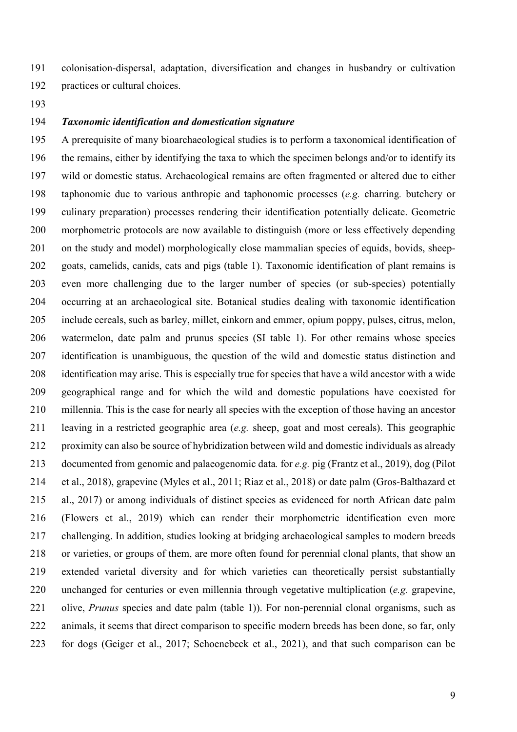colonisation-dispersal, adaptation, diversification and changes in husbandry or cultivation practices or cultural choices.

#### *Taxonomic identification and domestication signature*

 A prerequisite of many bioarchaeological studies is to perform a taxonomical identification of the remains, either by identifying the taxa to which the specimen belongs and/or to identify its wild or domestic status. Archaeological remains are often fragmented or altered due to either taphonomic due to various anthropic and taphonomic processes (*e.g.* charring*.* butchery or culinary preparation) processes rendering their identification potentially delicate. Geometric morphometric protocols are now available to distinguish (more or less effectively depending 201 on the study and model) morphologically close mammalian species of equids, bovids, sheep- goats, camelids, canids, cats and pigs (table 1). Taxonomic identification of plant remains is even more challenging due to the larger number of species (or sub-species) potentially occurring at an archaeological site. Botanical studies dealing with taxonomic identification include cereals, such as barley, millet, einkorn and emmer, opium poppy, pulses, citrus, melon, watermelon, date palm and prunus species (SI table 1). For other remains whose species identification is unambiguous, the question of the wild and domestic status distinction and identification may arise. This is especially true for species that have a wild ancestor with a wide geographical range and for which the wild and domestic populations have coexisted for millennia. This is the case for nearly all species with the exception of those having an ancestor leaving in a restricted geographic area (*e.g.* sheep, goat and most cereals). This geographic proximity can also be source of hybridization between wild and domestic individuals as already documented from genomic and palaeogenomic data*.* for *e.g.* pig (Frantz et al., 2019), dog (Pilot et al., 2018), grapevine (Myles et al., 2011; Riaz et al., 2018) or date palm (Gros-Balthazard et al., 2017) or among individuals of distinct species as evidenced for north African date palm (Flowers et al., 2019) which can render their morphometric identification even more challenging. In addition, studies looking at bridging archaeological samples to modern breeds or varieties, or groups of them, are more often found for perennial clonal plants, that show an extended varietal diversity and for which varieties can theoretically persist substantially unchanged for centuries or even millennia through vegetative multiplication (*e.g.* grapevine, olive, *Prunus* species and date palm (table 1)). For non-perennial clonal organisms, such as 222 animals, it seems that direct comparison to specific modern breeds has been done, so far, only for dogs (Geiger et al., 2017; Schoenebeck et al., 2021), and that such comparison can be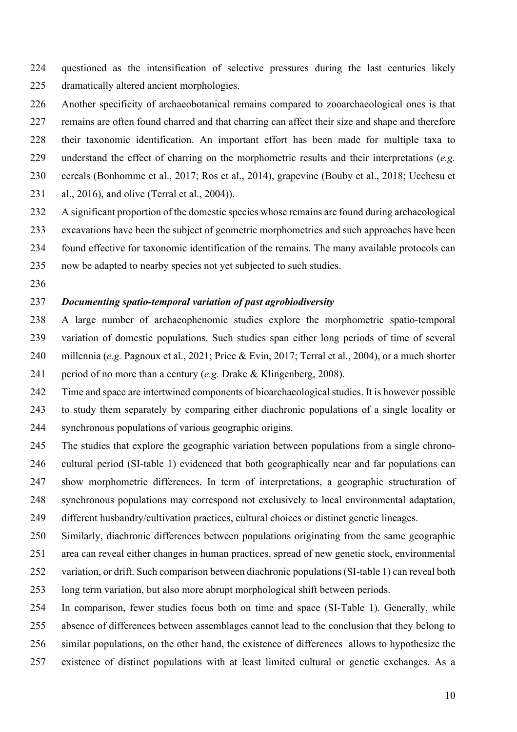- questioned as the intensification of selective pressures during the last centuries likely dramatically altered ancient morphologies.
- Another specificity of archaeobotanical remains compared to zooarchaeological ones is that
- remains are often found charred and that charring can affect their size and shape and therefore
- their taxonomic identification. An important effort has been made for multiple taxa to
	- understand the effect of charring on the morphometric results and their interpretations (*e.g.*
	- cereals (Bonhomme et al., 2017; Ros et al., 2014), grapevine (Bouby et al., 2018; Ucchesu et
	- al., 2016), and olive (Terral et al., 2004)).
	- A significant proportion of the domestic species whose remains are found during archaeological
	- excavations have been the subject of geometric morphometrics and such approaches have been found effective for taxonomic identification of the remains. The many available protocols can
	-
	- now be adapted to nearby species not yet subjected to such studies.
	-

# *Documenting spatio-temporal variation of past agrobiodiversity*

- A large number of archaeophenomic studies explore the morphometric spatio-temporal variation of domestic populations. Such studies span either long periods of time of several millennia (*e.g.* Pagnoux et al., 2021; Price & Evin, 2017; Terral et al., 2004), or a much shorter period of no more than a century (*e.g.* Drake & Klingenberg, 2008).
- Time and space are intertwined components of bioarchaeological studies. It is however possible to study them separately by comparing either diachronic populations of a single locality or synchronous populations of various geographic origins.
- The studies that explore the geographic variation between populations from a single chrono- cultural period (SI-table 1) evidenced that both geographically near and far populations can show morphometric differences. In term of interpretations, a geographic structuration of synchronous populations may correspond not exclusively to local environmental adaptation, different husbandry/cultivation practices, cultural choices or distinct genetic lineages.
- Similarly, diachronic differences between populations originating from the same geographic area can reveal either changes in human practices, spread of new genetic stock, environmental variation, or drift. Such comparison between diachronic populations (SI-table 1) can reveal both long term variation, but also more abrupt morphological shift between periods.
- In comparison, fewer studies focus both on time and space (SI-Table 1). Generally, while absence of differences between assemblages cannot lead to the conclusion that they belong to similar populations, on the other hand, the existence of differences allows to hypothesize the
- 
- existence of distinct populations with at least limited cultural or genetic exchanges. As a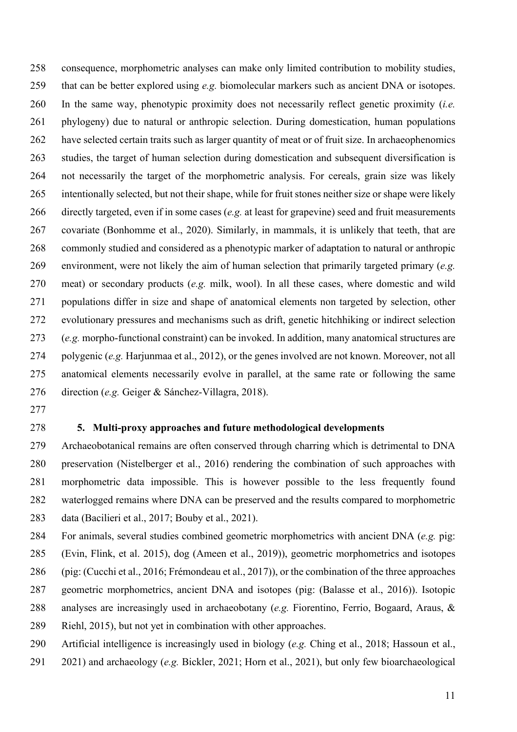consequence, morphometric analyses can make only limited contribution to mobility studies, that can be better explored using *e.g.* biomolecular markers such as ancient DNA or isotopes. In the same way, phenotypic proximity does not necessarily reflect genetic proximity (*i.e.* phylogeny) due to natural or anthropic selection. During domestication, human populations have selected certain traits such as larger quantity of meat or of fruit size. In archaeophenomics studies, the target of human selection during domestication and subsequent diversification is not necessarily the target of the morphometric analysis. For cereals, grain size was likely intentionally selected, but not their shape, while for fruit stones neither size or shape were likely directly targeted, even if in some cases (*e.g.* at least for grapevine) seed and fruit measurements covariate (Bonhomme et al., 2020). Similarly, in mammals, it is unlikely that teeth, that are commonly studied and considered as a phenotypic marker of adaptation to natural or anthropic environment, were not likely the aim of human selection that primarily targeted primary (*e.g.* meat) or secondary products (*e.g.* milk, wool). In all these cases, where domestic and wild populations differ in size and shape of anatomical elements non targeted by selection, other evolutionary pressures and mechanisms such as drift, genetic hitchhiking or indirect selection (*e.g.* morpho-functional constraint) can be invoked. In addition, many anatomical structures are polygenic (*e.g.* Harjunmaa et al., 2012), or the genes involved are not known. Moreover, not all anatomical elements necessarily evolve in parallel, at the same rate or following the same direction (*e.g.* Geiger & Sánchez-Villagra, 2018).

#### **5. Multi-proxy approaches and future methodological developments**

 Archaeobotanical remains are often conserved through charring which is detrimental to DNA preservation (Nistelberger et al., 2016) rendering the combination of such approaches with morphometric data impossible. This is however possible to the less frequently found waterlogged remains where DNA can be preserved and the results compared to morphometric data (Bacilieri et al., 2017; Bouby et al., 2021).

 For animals, several studies combined geometric morphometrics with ancient DNA (*e.g.* pig: (Evin, Flink, et al. 2015), dog (Ameen et al., 2019)), geometric morphometrics and isotopes (pig: (Cucchi et al., 2016; Frémondeau et al., 2017)), or the combination of the three approaches geometric morphometrics, ancient DNA and isotopes (pig: (Balasse et al., 2016)). Isotopic analyses are increasingly used in archaeobotany (*e.g.* Fiorentino, Ferrio, Bogaard, Araus, & Riehl, 2015), but not yet in combination with other approaches. Artificial intelligence is increasingly used in biology (*e.g.* Ching et al., 2018; Hassoun et al.,

2021) and archaeology (*e.g.* Bickler, 2021; Horn et al., 2021), but only few bioarchaeological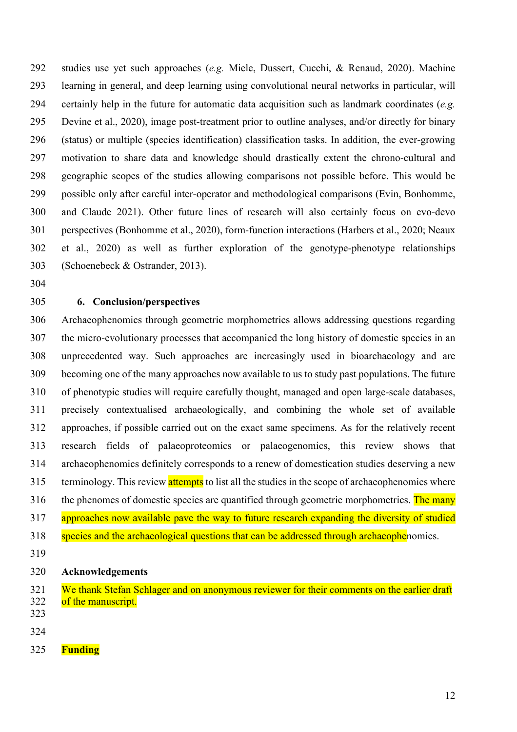studies use yet such approaches (*e.g.* Miele, Dussert, Cucchi, & Renaud, 2020). Machine learning in general, and deep learning using convolutional neural networks in particular, will certainly help in the future for automatic data acquisition such as landmark coordinates (*e.g.* Devine et al., 2020), image post-treatment prior to outline analyses, and/or directly for binary (status) or multiple (species identification) classification tasks. In addition, the ever-growing motivation to share data and knowledge should drastically extent the chrono-cultural and geographic scopes of the studies allowing comparisons not possible before. This would be possible only after careful inter-operator and methodological comparisons (Evin, Bonhomme, and Claude 2021). Other future lines of research will also certainly focus on evo-devo perspectives (Bonhomme et al., 2020), form-function interactions (Harbers et al., 2020; Neaux et al., 2020) as well as further exploration of the genotype-phenotype relationships (Schoenebeck & Ostrander, 2013).

## **6. Conclusion/perspectives**

 Archaeophenomics through geometric morphometrics allows addressing questions regarding the micro-evolutionary processes that accompanied the long history of domestic species in an unprecedented way. Such approaches are increasingly used in bioarchaeology and are becoming one of the many approaches now available to us to study past populations. The future of phenotypic studies will require carefully thought, managed and open large-scale databases, precisely contextualised archaeologically, and combining the whole set of available approaches, if possible carried out on the exact same specimens. As for the relatively recent research fields of palaeoproteomics or palaeogenomics, this review shows that archaeophenomics definitely corresponds to a renew of domestication studies deserving a new 315 terminology. This review attempts to list all the studies in the scope of archaeophenomics where the phenomes of domestic species are quantified through geometric morphometrics. The many 317 approaches now available pave the way to future research expanding the diversity of studied 318 species and the archaeological questions that can be addressed through archaeophenomics.

## **Acknowledgements**

- 321 We thank Stefan Schlager and on anonymous reviewer for their comments on the earlier draft 322 of the manuscript.
- 
- 
- **Funding**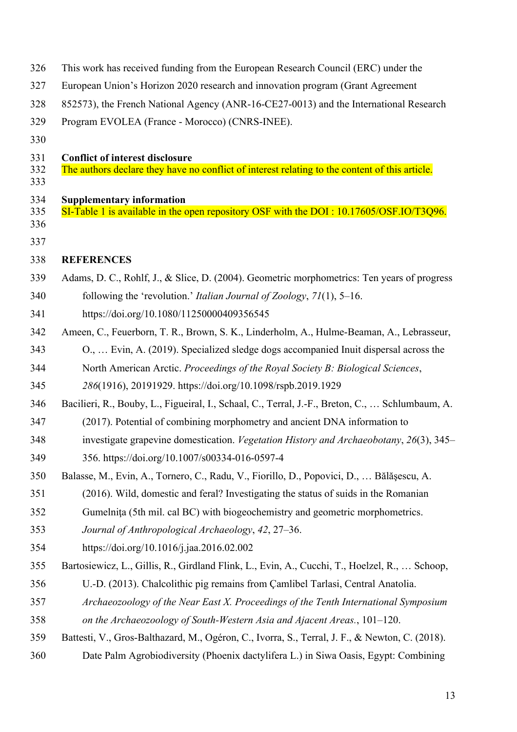| 326        | This work has received funding from the European Research Council (ERC) under the               |  |  |
|------------|-------------------------------------------------------------------------------------------------|--|--|
| 327        | European Union's Horizon 2020 research and innovation program (Grant Agreement                  |  |  |
| 328        | 852573), the French National Agency (ANR-16-CE27-0013) and the International Research           |  |  |
| 329        | Program EVOLEA (France - Morocco) (CNRS-INEE).                                                  |  |  |
| 330        |                                                                                                 |  |  |
| 331        | <b>Conflict of interest disclosure</b>                                                          |  |  |
| 332<br>333 | The authors declare they have no conflict of interest relating to the content of this article.  |  |  |
| 334        | <b>Supplementary information</b>                                                                |  |  |
| 335        | SI-Table 1 is available in the open repository OSF with the DOI: 10.17605/OSF.IO/T3Q96.         |  |  |
| 336        |                                                                                                 |  |  |
| 337        |                                                                                                 |  |  |
| 338        | <b>REFERENCES</b>                                                                               |  |  |
| 339        | Adams, D. C., Rohlf, J., & Slice, D. (2004). Geometric morphometrics: Ten years of progress     |  |  |
| 340        | following the 'revolution.' <i>Italian Journal of Zoology</i> , $71(1)$ , $5-16$ .              |  |  |
| 341        | https://doi.org/10.1080/11250000409356545                                                       |  |  |
| 342        | Ameen, C., Feuerborn, T. R., Brown, S. K., Linderholm, A., Hulme-Beaman, A., Lebrasseur,        |  |  |
| 343        | O.,  Evin, A. (2019). Specialized sledge dogs accompanied Inuit dispersal across the            |  |  |
| 344        | North American Arctic. Proceedings of the Royal Society B: Biological Sciences,                 |  |  |
| 345        | 286(1916), 20191929. https://doi.org/10.1098/rspb.2019.1929                                     |  |  |
| 346        | Bacilieri, R., Bouby, L., Figueiral, I., Schaal, C., Terral, J.-F., Breton, C.,  Schlumbaum, A. |  |  |
| 347        | (2017). Potential of combining morphometry and ancient DNA information to                       |  |  |
| 348        | investigate grapevine domestication. Vegetation History and Archaeobotany, 26(3), 345–          |  |  |
| 349        | 356. https://doi.org/10.1007/s00334-016-0597-4                                                  |  |  |
| 350        | Balasse, M., Evin, A., Tornero, C., Radu, V., Fiorillo, D., Popovici, D.,  Bălășescu, A.        |  |  |
| 351        | (2016). Wild, domestic and feral? Investigating the status of suids in the Romanian             |  |  |
| 352        | Gumelnita (5th mil. cal BC) with biogeochemistry and geometric morphometrics.                   |  |  |
| 353        | Journal of Anthropological Archaeology, 42, 27–36.                                              |  |  |
| 354        | https://doi.org/10.1016/j.jaa.2016.02.002                                                       |  |  |
| 355        | Bartosiewicz, L., Gillis, R., Girdland Flink, L., Evin, A., Cucchi, T., Hoelzel, R.,  Schoop,   |  |  |
| 356        | U.-D. (2013). Chalcolithic pig remains from Çamlibel Tarlasi, Central Anatolia.                 |  |  |
| 357        | Archaeozoology of the Near East X. Proceedings of the Tenth International Symposium             |  |  |
| 358        | on the Archaeozoology of South-Western Asia and Ajacent Areas., 101–120.                        |  |  |
| 359        | Battesti, V., Gros-Balthazard, M., Ogéron, C., Ivorra, S., Terral, J. F., & Newton, C. (2018).  |  |  |
| 360        | Date Palm Agrobiodiversity (Phoenix dactylifera L.) in Siwa Oasis, Egypt: Combining             |  |  |
|            |                                                                                                 |  |  |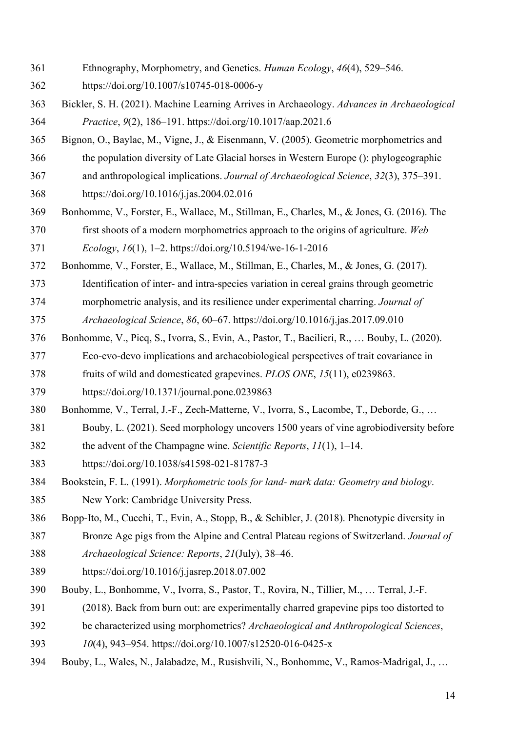- Ethnography, Morphometry, and Genetics. *Human Ecology*, *46*(4), 529–546.
- https://doi.org/10.1007/s10745-018-0006-y
- Bickler, S. H. (2021). Machine Learning Arrives in Archaeology. *Advances in Archaeological Practice*, *9*(2), 186–191. https://doi.org/10.1017/aap.2021.6
- Bignon, O., Baylac, M., Vigne, J., & Eisenmann, V. (2005). Geometric morphometrics and
- the population diversity of Late Glacial horses in Western Europe (): phylogeographic
- and anthropological implications. *Journal of Archaeological Science*, *32*(3), 375–391.
- https://doi.org/10.1016/j.jas.2004.02.016
- Bonhomme, V., Forster, E., Wallace, M., Stillman, E., Charles, M., & Jones, G. (2016). The
- first shoots of a modern morphometrics approach to the origins of agriculture. *Web Ecology*, *16*(1), 1–2. https://doi.org/10.5194/we-16-1-2016
- Bonhomme, V., Forster, E., Wallace, M., Stillman, E., Charles, M., & Jones, G. (2017).
- Identification of inter- and intra-species variation in cereal grains through geometric
- morphometric analysis, and its resilience under experimental charring. *Journal of*
- *Archaeological Science*, *86*, 60–67. https://doi.org/10.1016/j.jas.2017.09.010
- Bonhomme, V., Picq, S., Ivorra, S., Evin, A., Pastor, T., Bacilieri, R., … Bouby, L. (2020). Eco-evo-devo implications and archaeobiological perspectives of trait covariance in
- fruits of wild and domesticated grapevines. *PLOS ONE*, *15*(11), e0239863.
- https://doi.org/10.1371/journal.pone.0239863
- Bonhomme, V., Terral, J.-F., Zech-Matterne, V., Ivorra, S., Lacombe, T., Deborde, G., …
- Bouby, L. (2021). Seed morphology uncovers 1500 years of vine agrobiodiversity before
- the advent of the Champagne wine. *Scientific Reports*, *11*(1), 1–14.
- https://doi.org/10.1038/s41598-021-81787-3
- Bookstein, F. L. (1991). *Morphometric tools for land- mark data: Geometry and biology*.
- New York: Cambridge University Press.
- Bopp-Ito, M., Cucchi, T., Evin, A., Stopp, B., & Schibler, J. (2018). Phenotypic diversity in
- Bronze Age pigs from the Alpine and Central Plateau regions of Switzerland. *Journal of Archaeological Science: Reports*, *21*(July), 38–46.
- https://doi.org/10.1016/j.jasrep.2018.07.002
- Bouby, L., Bonhomme, V., Ivorra, S., Pastor, T., Rovira, N., Tillier, M., … Terral, J.-F.
- (2018). Back from burn out: are experimentally charred grapevine pips too distorted to
- be characterized using morphometrics? *Archaeological and Anthropological Sciences*,
- *10*(4), 943–954. https://doi.org/10.1007/s12520-016-0425-x
- Bouby, L., Wales, N., Jalabadze, M., Rusishvili, N., Bonhomme, V., Ramos-Madrigal, J., …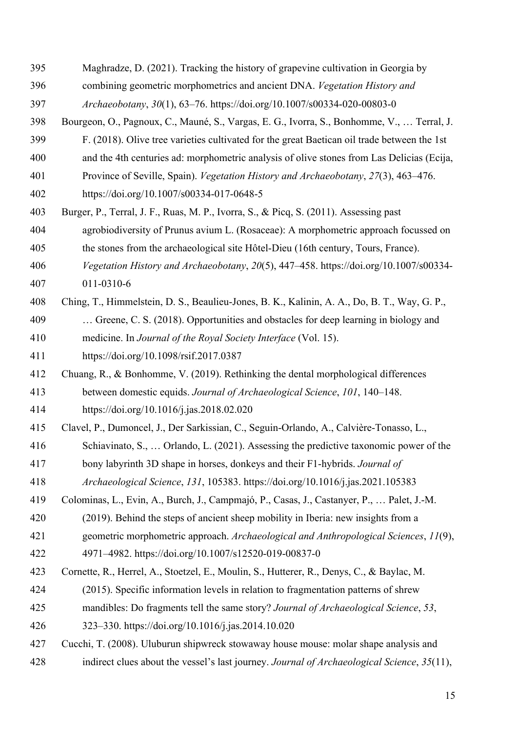- Maghradze, D. (2021). Tracking the history of grapevine cultivation in Georgia by
- combining geometric morphometrics and ancient DNA. *Vegetation History and*
- *Archaeobotany*, *30*(1), 63–76. https://doi.org/10.1007/s00334-020-00803-0
- Bourgeon, O., Pagnoux, C., Mauné, S., Vargas, E. G., Ivorra, S., Bonhomme, V., … Terral, J.
- F. (2018). Olive tree varieties cultivated for the great Baetican oil trade between the 1st
- and the 4th centuries ad: morphometric analysis of olive stones from Las Delicias (Ecija,
- Province of Seville, Spain). *Vegetation History and Archaeobotany*, *27*(3), 463–476.
- https://doi.org/10.1007/s00334-017-0648-5
- Burger, P., Terral, J. F., Ruas, M. P., Ivorra, S., & Picq, S. (2011). Assessing past
- agrobiodiversity of Prunus avium L. (Rosaceae): A morphometric approach focussed on
- the stones from the archaeological site Hôtel-Dieu (16th century, Tours, France).
- *Vegetation History and Archaeobotany*, *20*(5), 447–458. https://doi.org/10.1007/s00334-
- 011-0310-6
- Ching, T., Himmelstein, D. S., Beaulieu-Jones, B. K., Kalinin, A. A., Do, B. T., Way, G. P.,
- … Greene, C. S. (2018). Opportunities and obstacles for deep learning in biology and
- medicine. In *Journal of the Royal Society Interface* (Vol. 15).
- https://doi.org/10.1098/rsif.2017.0387
- Chuang, R., & Bonhomme, V. (2019). Rethinking the dental morphological differences
- between domestic equids. *Journal of Archaeological Science*, *101*, 140–148.
- https://doi.org/10.1016/j.jas.2018.02.020
- Clavel, P., Dumoncel, J., Der Sarkissian, C., Seguin-Orlando, A., Calvière-Tonasso, L.,
- Schiavinato, S., … Orlando, L. (2021). Assessing the predictive taxonomic power of the
- bony labyrinth 3D shape in horses, donkeys and their F1-hybrids. *Journal of*
- *Archaeological Science*, *131*, 105383. https://doi.org/10.1016/j.jas.2021.105383
- Colominas, L., Evin, A., Burch, J., Campmajó, P., Casas, J., Castanyer, P., … Palet, J.-M.
- (2019). Behind the steps of ancient sheep mobility in Iberia: new insights from a
- geometric morphometric approach. *Archaeological and Anthropological Sciences*, *11*(9),
- 4971–4982. https://doi.org/10.1007/s12520-019-00837-0
- Cornette, R., Herrel, A., Stoetzel, E., Moulin, S., Hutterer, R., Denys, C., & Baylac, M.
- (2015). Specific information levels in relation to fragmentation patterns of shrew
- mandibles: Do fragments tell the same story? *Journal of Archaeological Science*, *53*,
- 323–330. https://doi.org/10.1016/j.jas.2014.10.020
- Cucchi, T. (2008). Uluburun shipwreck stowaway house mouse: molar shape analysis and
- indirect clues about the vessel's last journey. *Journal of Archaeological Science*, *35*(11),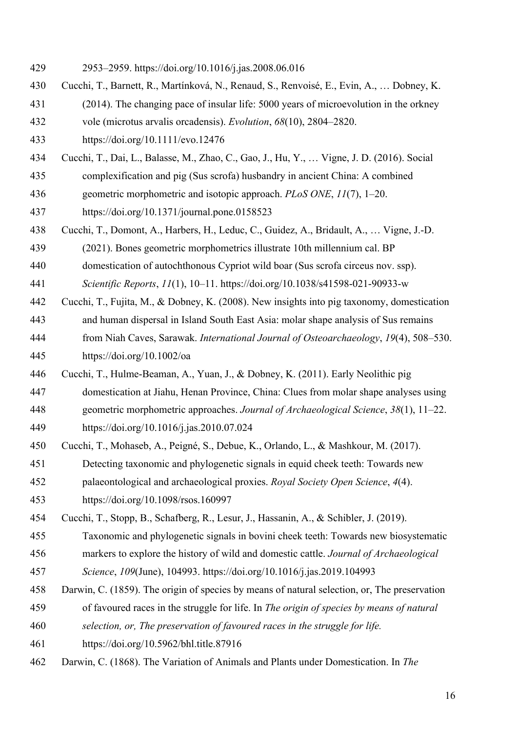- 2953–2959. https://doi.org/10.1016/j.jas.2008.06.016
- Cucchi, T., Barnett, R., Martínková, N., Renaud, S., Renvoisé, E., Evin, A., … Dobney, K.
- (2014). The changing pace of insular life: 5000 years of microevolution in the orkney
- vole (microtus arvalis orcadensis). *Evolution*, *68*(10), 2804–2820.
- https://doi.org/10.1111/evo.12476
- Cucchi, T., Dai, L., Balasse, M., Zhao, C., Gao, J., Hu, Y., … Vigne, J. D. (2016). Social
- complexification and pig (Sus scrofa) husbandry in ancient China: A combined
- geometric morphometric and isotopic approach. *PLoS ONE*, *11*(7), 1–20.

https://doi.org/10.1371/journal.pone.0158523

- Cucchi, T., Domont, A., Harbers, H., Leduc, C., Guidez, A., Bridault, A., … Vigne, J.-D.
- (2021). Bones geometric morphometrics illustrate 10th millennium cal. BP
- domestication of autochthonous Cypriot wild boar (Sus scrofa circeus nov. ssp).

*Scientific Reports*, *11*(1), 10–11. https://doi.org/10.1038/s41598-021-90933-w

- Cucchi, T., Fujita, M., & Dobney, K. (2008). New insights into pig taxonomy, domestication
- and human dispersal in Island South East Asia: molar shape analysis of Sus remains
- from Niah Caves, Sarawak. *International Journal of Osteoarchaeology*, *19*(4), 508–530.
- https://doi.org/10.1002/oa
- Cucchi, T., Hulme-Beaman, A., Yuan, J., & Dobney, K. (2011). Early Neolithic pig
- domestication at Jiahu, Henan Province, China: Clues from molar shape analyses using
- geometric morphometric approaches. *Journal of Archaeological Science*, *38*(1), 11–22.
- https://doi.org/10.1016/j.jas.2010.07.024
- Cucchi, T., Mohaseb, A., Peigné, S., Debue, K., Orlando, L., & Mashkour, M. (2017).
- Detecting taxonomic and phylogenetic signals in equid cheek teeth: Towards new
- palaeontological and archaeological proxies. *Royal Society Open Science*, *4*(4).
- https://doi.org/10.1098/rsos.160997
- Cucchi, T., Stopp, B., Schafberg, R., Lesur, J., Hassanin, A., & Schibler, J. (2019).
- Taxonomic and phylogenetic signals in bovini cheek teeth: Towards new biosystematic
- markers to explore the history of wild and domestic cattle. *Journal of Archaeological*
- *Science*, *109*(June), 104993. https://doi.org/10.1016/j.jas.2019.104993
- Darwin, C. (1859). The origin of species by means of natural selection, or, The preservation
- of favoured races in the struggle for life. In *The origin of species by means of natural*
- *selection, or, The preservation of favoured races in the struggle for life.*
- https://doi.org/10.5962/bhl.title.87916
- Darwin, C. (1868). The Variation of Animals and Plants under Domestication. In *The*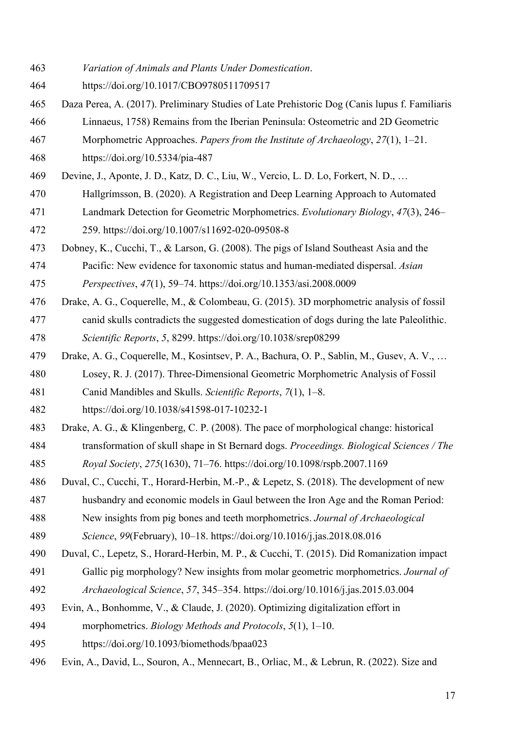- *Variation of Animals and Plants Under Domestication*.
- https://doi.org/10.1017/CBO9780511709517
- Daza Perea, A. (2017). Preliminary Studies of Late Prehistoric Dog (Canis lupus f. Familiaris
- Linnaeus, 1758) Remains from the Iberian Peninsula: Osteometric and 2D Geometric
- Morphometric Approaches. *Papers from the Institute of Archaeology*, *27*(1), 1–21.
- https://doi.org/10.5334/pia-487
- Devine, J., Aponte, J. D., Katz, D. C., Liu, W., Vercio, L. D. Lo, Forkert, N. D., …
- Hallgrímsson, B. (2020). A Registration and Deep Learning Approach to Automated
- Landmark Detection for Geometric Morphometrics. *Evolutionary Biology*, *47*(3), 246–
- 259. https://doi.org/10.1007/s11692-020-09508-8
- Dobney, K., Cucchi, T., & Larson, G. (2008). The pigs of Island Southeast Asia and the Pacific: New evidence for taxonomic status and human-mediated dispersal. *Asian*
- *Perspectives*, *47*(1), 59–74. https://doi.org/10.1353/asi.2008.0009
- Drake, A. G., Coquerelle, M., & Colombeau, G. (2015). 3D morphometric analysis of fossil canid skulls contradicts the suggested domestication of dogs during the late Paleolithic. *Scientific Reports*, *5*, 8299. https://doi.org/10.1038/srep08299
- Drake, A. G., Coquerelle, M., Kosintsev, P. A., Bachura, O. P., Sablin, M., Gusev, A. V., …
- Losey, R. J. (2017). Three-Dimensional Geometric Morphometric Analysis of Fossil
- Canid Mandibles and Skulls. *Scientific Reports*, *7*(1), 1–8.
- https://doi.org/10.1038/s41598-017-10232-1
- Drake, A. G., & Klingenberg, C. P. (2008). The pace of morphological change: historical transformation of skull shape in St Bernard dogs. *Proceedings. Biological Sciences / The Royal Society*, *275*(1630), 71–76. https://doi.org/10.1098/rspb.2007.1169
- Duval, C., Cucchi, T., Horard-Herbin, M.-P., & Lepetz, S. (2018). The development of new
- husbandry and economic models in Gaul between the Iron Age and the Roman Period:
- New insights from pig bones and teeth morphometrics. *Journal of Archaeological*
- *Science*, *99*(February), 10–18. https://doi.org/10.1016/j.jas.2018.08.016
- Duval, C., Lepetz, S., Horard-Herbin, M. P., & Cucchi, T. (2015). Did Romanization impact
- Gallic pig morphology? New insights from molar geometric morphometrics. *Journal of Archaeological Science*, *57*, 345–354. https://doi.org/10.1016/j.jas.2015.03.004
- Evin, A., Bonhomme, V., & Claude, J. (2020). Optimizing digitalization effort in
- morphometrics. *Biology Methods and Protocols*, *5*(1), 1–10.
- https://doi.org/10.1093/biomethods/bpaa023
- Evin, A., David, L., Souron, A., Mennecart, B., Orliac, M., & Lebrun, R. (2022). Size and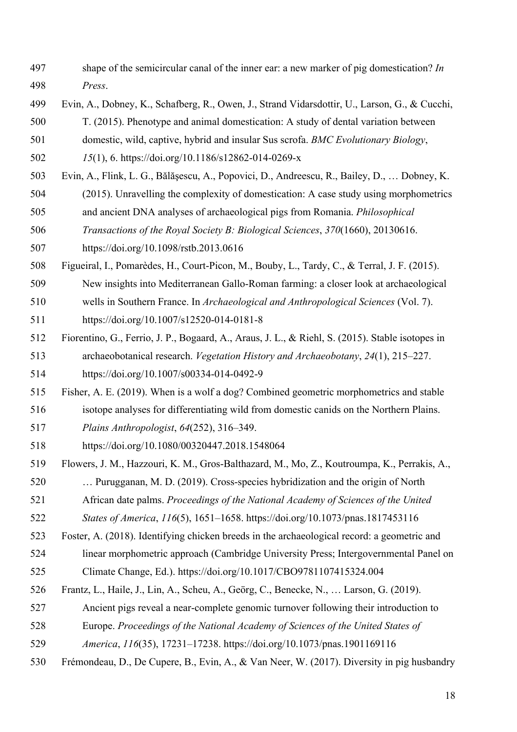- shape of the semicircular canal of the inner ear: a new marker of pig domestication? *In Press*.
- Evin, A., Dobney, K., Schafberg, R., Owen, J., Strand Vidarsdottir, U., Larson, G., & Cucchi,
- T. (2015). Phenotype and animal domestication: A study of dental variation between
- domestic, wild, captive, hybrid and insular Sus scrofa. *BMC Evolutionary Biology*,
- *15*(1), 6. https://doi.org/10.1186/s12862-014-0269-x
- Evin, A., Flink, L. G., Bălăşescu, A., Popovici, D., Andreescu, R., Bailey, D., … Dobney, K.
- (2015). Unravelling the complexity of domestication: A case study using morphometrics
- and ancient DNA analyses of archaeological pigs from Romania. *Philosophical*
- *Transactions of the Royal Society B: Biological Sciences*, *370*(1660), 20130616.
- https://doi.org/10.1098/rstb.2013.0616
- Figueiral, I., Pomarèdes, H., Court-Picon, M., Bouby, L., Tardy, C., & Terral, J. F. (2015).
- New insights into Mediterranean Gallo-Roman farming: a closer look at archaeological
- wells in Southern France. In *Archaeological and Anthropological Sciences* (Vol. 7). https://doi.org/10.1007/s12520-014-0181-8
- Fiorentino, G., Ferrio, J. P., Bogaard, A., Araus, J. L., & Riehl, S. (2015). Stable isotopes in archaeobotanical research. *Vegetation History and Archaeobotany*, *24*(1), 215–227. https://doi.org/10.1007/s00334-014-0492-9
- Fisher, A. E. (2019). When is a wolf a dog? Combined geometric morphometrics and stable
- isotope analyses for differentiating wild from domestic canids on the Northern Plains.
- *Plains Anthropologist*, *64*(252), 316–349.
- https://doi.org/10.1080/00320447.2018.1548064
- Flowers, J. M., Hazzouri, K. M., Gros-Balthazard, M., Mo, Z., Koutroumpa, K., Perrakis, A.,

… Purugganan, M. D. (2019). Cross-species hybridization and the origin of North

- African date palms. *Proceedings of the National Academy of Sciences of the United*
- *States of America*, *116*(5), 1651–1658. https://doi.org/10.1073/pnas.1817453116
- Foster, A. (2018). Identifying chicken breeds in the archaeological record: a geometric and
- linear morphometric approach (Cambridge University Press; Intergovernmental Panel on
- Climate Change, Ed.). https://doi.org/10.1017/CBO9781107415324.004
- Frantz, L., Haile, J., Lin, A., Scheu, A., Geörg, C., Benecke, N., … Larson, G. (2019).
- Ancient pigs reveal a near-complete genomic turnover following their introduction to
- Europe. *Proceedings of the National Academy of Sciences of the United States of*
- *America*, *116*(35), 17231–17238. https://doi.org/10.1073/pnas.1901169116
- Frémondeau, D., De Cupere, B., Evin, A., & Van Neer, W. (2017). Diversity in pig husbandry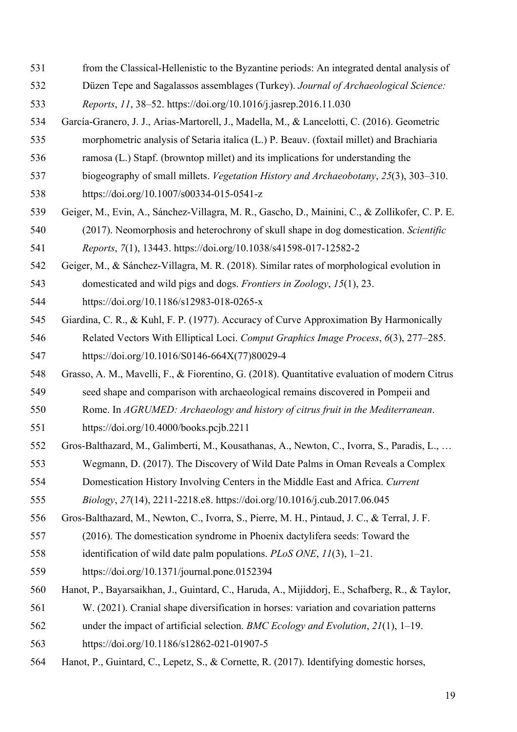- from the Classical-Hellenistic to the Byzantine periods: An integrated dental analysis of
- Düzen Tepe and Sagalassos assemblages (Turkey). *Journal of Archaeological Science:*
- *Reports*, *11*, 38–52. https://doi.org/10.1016/j.jasrep.2016.11.030
- García-Granero, J. J., Arias-Martorell, J., Madella, M., & Lancelotti, C. (2016). Geometric
- morphometric analysis of Setaria italica (L.) P. Beauv. (foxtail millet) and Brachiaria
- ramosa (L.) Stapf. (browntop millet) and its implications for understanding the
- biogeography of small millets. *Vegetation History and Archaeobotany*, *25*(3), 303–310.
- https://doi.org/10.1007/s00334-015-0541-z
- Geiger, M., Evin, A., Sánchez-Villagra, M. R., Gascho, D., Mainini, C., & Zollikofer, C. P. E.
- (2017). Neomorphosis and heterochrony of skull shape in dog domestication. *Scientific Reports*, *7*(1), 13443. https://doi.org/10.1038/s41598-017-12582-2
- Geiger, M., & Sánchez-Villagra, M. R. (2018). Similar rates of morphological evolution in
- domesticated and wild pigs and dogs. *Frontiers in Zoology*, *15*(1), 23.
- https://doi.org/10.1186/s12983-018-0265-x
- Giardina, C. R., & Kuhl, F. P. (1977). Accuracy of Curve Approximation By Harmonically Related Vectors With Elliptical Loci. *Comput Graphics Image Process*, *6*(3), 277–285. https://doi.org/10.1016/S0146-664X(77)80029-4
- Grasso, A. M., Mavelli, F., & Fiorentino, G. (2018). Quantitative evaluation of modern Citrus
- seed shape and comparison with archaeological remains discovered in Pompeii and
- Rome. In *AGRUMED: Archaeology and history of citrus fruit in the Mediterranean*.
- https://doi.org/10.4000/books.pcjb.2211
- Gros-Balthazard, M., Galimberti, M., Kousathanas, A., Newton, C., Ivorra, S., Paradis, L., …
- Wegmann, D. (2017). The Discovery of Wild Date Palms in Oman Reveals a Complex
- Domestication History Involving Centers in the Middle East and Africa. *Current*
- *Biology*, *27*(14), 2211-2218.e8. https://doi.org/10.1016/j.cub.2017.06.045
- Gros-Balthazard, M., Newton, C., Ivorra, S., Pierre, M. H., Pintaud, J. C., & Terral, J. F.
- (2016). The domestication syndrome in Phoenix dactylifera seeds: Toward the
- identification of wild date palm populations. *PLoS ONE*, *11*(3), 1–21.
- https://doi.org/10.1371/journal.pone.0152394
- Hanot, P., Bayarsaikhan, J., Guintard, C., Haruda, A., Mijiddorj, E., Schafberg, R., & Taylor,
- W. (2021). Cranial shape diversification in horses: variation and covariation patterns
- under the impact of artificial selection. *BMC Ecology and Evolution*, *21*(1), 1–19.
- https://doi.org/10.1186/s12862-021-01907-5
- Hanot, P., Guintard, C., Lepetz, S., & Cornette, R. (2017). Identifying domestic horses,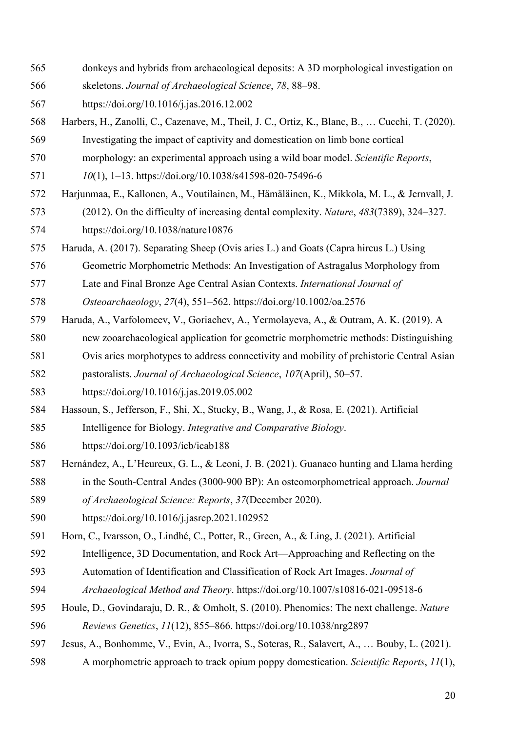- donkeys and hybrids from archaeological deposits: A 3D morphological investigation on
- skeletons. *Journal of Archaeological Science*, *78*, 88–98.
- https://doi.org/10.1016/j.jas.2016.12.002
- Harbers, H., Zanolli, C., Cazenave, M., Theil, J. C., Ortiz, K., Blanc, B., … Cucchi, T. (2020).
- Investigating the impact of captivity and domestication on limb bone cortical
- morphology: an experimental approach using a wild boar model. *Scientific Reports*,
- *10*(1), 1–13. https://doi.org/10.1038/s41598-020-75496-6
- Harjunmaa, E., Kallonen, A., Voutilainen, M., Hämäläinen, K., Mikkola, M. L., & Jernvall, J.
- (2012). On the difficulty of increasing dental complexity. *Nature*, *483*(7389), 324–327. https://doi.org/10.1038/nature10876
- Haruda, A. (2017). Separating Sheep (Ovis aries L.) and Goats (Capra hircus L.) Using
- Geometric Morphometric Methods: An Investigation of Astragalus Morphology from
- Late and Final Bronze Age Central Asian Contexts. *International Journal of*
- *Osteoarchaeology*, *27*(4), 551–562. https://doi.org/10.1002/oa.2576
- Haruda, A., Varfolomeev, V., Goriachev, A., Yermolayeva, A., & Outram, A. K. (2019). A
- new zooarchaeological application for geometric morphometric methods: Distinguishing
- Ovis aries morphotypes to address connectivity and mobility of prehistoric Central Asian
- pastoralists. *Journal of Archaeological Science*, *107*(April), 50–57.
- https://doi.org/10.1016/j.jas.2019.05.002
- Hassoun, S., Jefferson, F., Shi, X., Stucky, B., Wang, J., & Rosa, E. (2021). Artificial
- Intelligence for Biology. *Integrative and Comparative Biology*.
- https://doi.org/10.1093/icb/icab188
- Hernández, A., L'Heureux, G. L., & Leoni, J. B. (2021). Guanaco hunting and Llama herding in the South-Central Andes (3000-900 BP): An osteomorphometrical approach. *Journal*
- *of Archaeological Science: Reports*, *37*(December 2020).
- https://doi.org/10.1016/j.jasrep.2021.102952
- Horn, C., Ivarsson, O., Lindhé, C., Potter, R., Green, A., & Ling, J. (2021). Artificial
- Intelligence, 3D Documentation, and Rock Art—Approaching and Reflecting on the
- Automation of Identification and Classification of Rock Art Images. *Journal of*
- *Archaeological Method and Theory*. https://doi.org/10.1007/s10816-021-09518-6
- Houle, D., Govindaraju, D. R., & Omholt, S. (2010). Phenomics: The next challenge. *Nature*
- *Reviews Genetics*, *11*(12), 855–866. https://doi.org/10.1038/nrg2897
- Jesus, A., Bonhomme, V., Evin, A., Ivorra, S., Soteras, R., Salavert, A., … Bouby, L. (2021).
- A morphometric approach to track opium poppy domestication. *Scientific Reports*, *11*(1),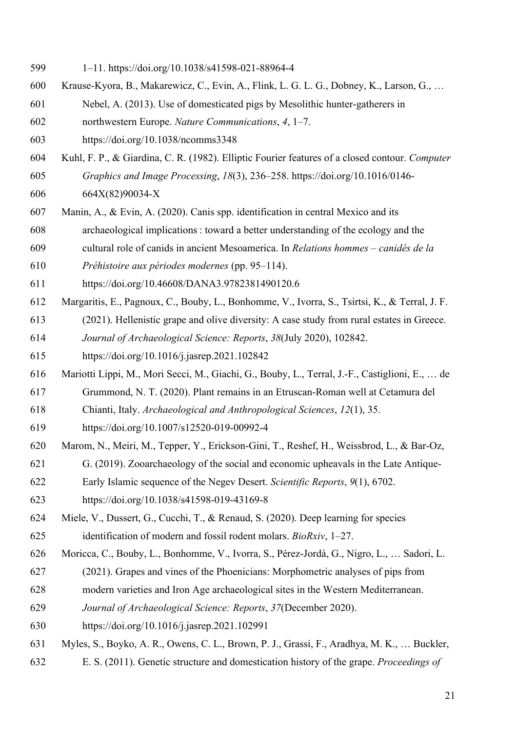- 1–11. https://doi.org/10.1038/s41598-021-88964-4
- Krause-Kyora, B., Makarewicz, C., Evin, A., Flink, L. G. L. G., Dobney, K., Larson, G., …
- Nebel, A. (2013). Use of domesticated pigs by Mesolithic hunter-gatherers in
- northwestern Europe. *Nature Communications*, *4*, 1–7.
- https://doi.org/10.1038/ncomms3348
- Kuhl, F. P., & Giardina, C. R. (1982). Elliptic Fourier features of a closed contour. *Computer Graphics and Image Processing*, *18*(3), 236–258. https://doi.org/10.1016/0146- 664X(82)90034-X
- Manin, A., & Evin, A. (2020). Canis spp. identification in central Mexico and its
- archaeological implications : toward a better understanding of the ecology and the
- cultural role of canids in ancient Mesoamerica. In *Relations hommes – canidés de la*
- *Préhistoire aux périodes modernes* (pp. 95–114).
- https://doi.org/10.46608/DANA3.9782381490120.6
- Margaritis, E., Pagnoux, C., Bouby, L., Bonhomme, V., Ivorra, S., Tsirtsi, K., & Terral, J. F.
- (2021). Hellenistic grape and olive diversity: A case study from rural estates in Greece.
- *Journal of Archaeological Science: Reports*, *38*(July 2020), 102842.
- https://doi.org/10.1016/j.jasrep.2021.102842
- Mariotti Lippi, M., Mori Secci, M., Giachi, G., Bouby, L., Terral, J.-F., Castiglioni, E., … de
- Grummond, N. T. (2020). Plant remains in an Etruscan-Roman well at Cetamura del
- Chianti, Italy. *Archaeological and Anthropological Sciences*, *12*(1), 35.
- https://doi.org/10.1007/s12520-019-00992-4
- Marom, N., Meiri, M., Tepper, Y., Erickson-Gini, T., Reshef, H., Weissbrod, L., & Bar-Oz,
- G. (2019). Zooarchaeology of the social and economic upheavals in the Late Antique-
- Early Islamic sequence of the Negev Desert. *Scientific Reports*, *9*(1), 6702.
- https://doi.org/10.1038/s41598-019-43169-8
- Miele, V., Dussert, G., Cucchi, T., & Renaud, S. (2020). Deep learning for species identification of modern and fossil rodent molars. *BioRxiv*, 1–27.
- Moricca, C., Bouby, L., Bonhomme, V., Ivorra, S., Pérez-Jordà, G., Nigro, L., … Sadori, L.
- (2021). Grapes and vines of the Phoenicians: Morphometric analyses of pips from
- modern varieties and Iron Age archaeological sites in the Western Mediterranean.
- *Journal of Archaeological Science: Reports*, *37*(December 2020).
- https://doi.org/10.1016/j.jasrep.2021.102991
- Myles, S., Boyko, A. R., Owens, C. L., Brown, P. J., Grassi, F., Aradhya, M. K., … Buckler,
- E. S. (2011). Genetic structure and domestication history of the grape. *Proceedings of*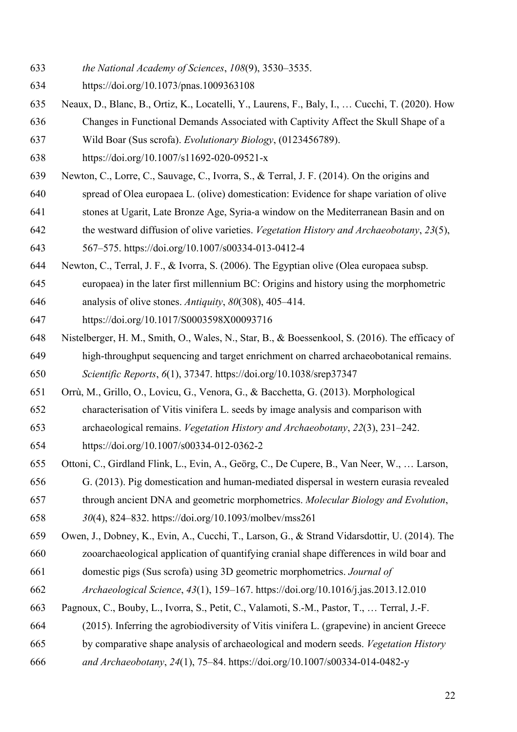- *the National Academy of Sciences*, *108*(9), 3530–3535.
- https://doi.org/10.1073/pnas.1009363108
- Neaux, D., Blanc, B., Ortiz, K., Locatelli, Y., Laurens, F., Baly, I., … Cucchi, T. (2020). How
- Changes in Functional Demands Associated with Captivity Affect the Skull Shape of a
- Wild Boar (Sus scrofa). *Evolutionary Biology*, (0123456789).
- https://doi.org/10.1007/s11692-020-09521-x
- Newton, C., Lorre, C., Sauvage, C., Ivorra, S., & Terral, J. F. (2014). On the origins and
- spread of Olea europaea L. (olive) domestication: Evidence for shape variation of olive
- stones at Ugarit, Late Bronze Age, Syria-a window on the Mediterranean Basin and on
- the westward diffusion of olive varieties. *Vegetation History and Archaeobotany*, *23*(5),

567–575. https://doi.org/10.1007/s00334-013-0412-4

- Newton, C., Terral, J. F., & Ivorra, S. (2006). The Egyptian olive (Olea europaea subsp.
- europaea) in the later first millennium BC: Origins and history using the morphometric
- analysis of olive stones. *Antiquity*, *80*(308), 405–414.
- https://doi.org/10.1017/S0003598X00093716
- Nistelberger, H. M., Smith, O., Wales, N., Star, B., & Boessenkool, S. (2016). The efficacy of high-throughput sequencing and target enrichment on charred archaeobotanical remains. *Scientific Reports*, *6*(1), 37347. https://doi.org/10.1038/srep37347
- Orrù, M., Grillo, O., Lovicu, G., Venora, G., & Bacchetta, G. (2013). Morphological
- characterisation of Vitis vinifera L. seeds by image analysis and comparison with
- archaeological remains. *Vegetation History and Archaeobotany*, *22*(3), 231–242.

https://doi.org/10.1007/s00334-012-0362-2

- Ottoni, C., Girdland Flink, L., Evin, A., Geörg, C., De Cupere, B., Van Neer, W., … Larson,
- G. (2013). Pig domestication and human-mediated dispersal in western eurasia revealed
- through ancient DNA and geometric morphometrics. *Molecular Biology and Evolution*,
- *30*(4), 824–832. https://doi.org/10.1093/molbev/mss261
- Owen, J., Dobney, K., Evin, A., Cucchi, T., Larson, G., & Strand Vidarsdottir, U. (2014). The
- zooarchaeological application of quantifying cranial shape differences in wild boar and
- domestic pigs (Sus scrofa) using 3D geometric morphometrics. *Journal of*
- *Archaeological Science*, *43*(1), 159–167. https://doi.org/10.1016/j.jas.2013.12.010
- Pagnoux, C., Bouby, L., Ivorra, S., Petit, C., Valamoti, S.-M., Pastor, T., … Terral, J.-F.
- (2015). Inferring the agrobiodiversity of Vitis vinifera L. (grapevine) in ancient Greece
- by comparative shape analysis of archaeological and modern seeds. *Vegetation History*
- *and Archaeobotany*, *24*(1), 75–84. https://doi.org/10.1007/s00334-014-0482-y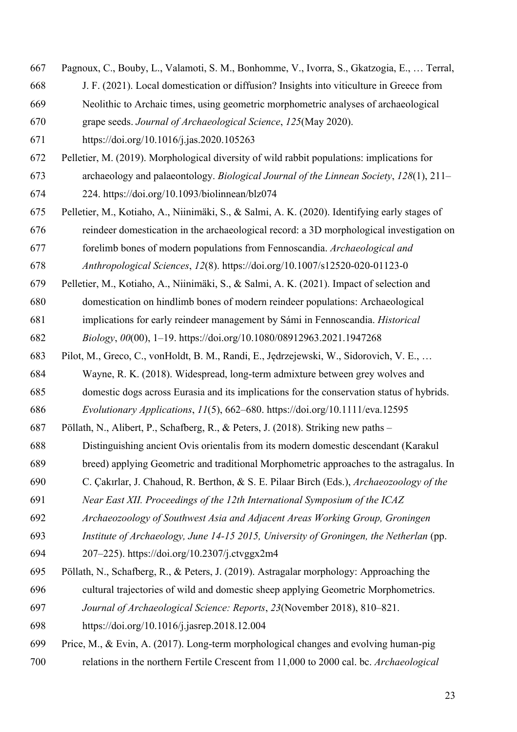J. F. (2021). Local domestication or diffusion? Insights into viticulture in Greece from Neolithic to Archaic times, using geometric morphometric analyses of archaeological grape seeds. *Journal of Archaeological Science*, *125*(May 2020). https://doi.org/10.1016/j.jas.2020.105263 Pelletier, M. (2019). Morphological diversity of wild rabbit populations: implications for archaeology and palaeontology. *Biological Journal of the Linnean Society*, *128*(1), 211– 224. https://doi.org/10.1093/biolinnean/blz074 Pelletier, M., Kotiaho, A., Niinimäki, S., & Salmi, A. K. (2020). Identifying early stages of reindeer domestication in the archaeological record: a 3D morphological investigation on forelimb bones of modern populations from Fennoscandia. *Archaeological and Anthropological Sciences*, *12*(8). https://doi.org/10.1007/s12520-020-01123-0 Pelletier, M., Kotiaho, A., Niinimäki, S., & Salmi, A. K. (2021). Impact of selection and domestication on hindlimb bones of modern reindeer populations: Archaeological implications for early reindeer management by Sámi in Fennoscandia. *Historical Biology*, *00*(00), 1–19. https://doi.org/10.1080/08912963.2021.1947268 Pilot, M., Greco, C., vonHoldt, B. M., Randi, E., Jędrzejewski, W., Sidorovich, V. E., … Wayne, R. K. (2018). Widespread, long-term admixture between grey wolves and domestic dogs across Eurasia and its implications for the conservation status of hybrids. *Evolutionary Applications*, *11*(5), 662–680. https://doi.org/10.1111/eva.12595 Pöllath, N., Alibert, P., Schafberg, R., & Peters, J. (2018). Striking new paths – Distinguishing ancient Ovis orientalis from its modern domestic descendant (Karakul breed) applying Geometric and traditional Morphometric approaches to the astragalus. In C. Çakırlar, J. Chahoud, R. Berthon, & S. E. Pilaar Birch (Eds.), *Archaeozoology of the Near East XII. Proceedings of the 12th International Symposium of the ICAZ Archaeozoology of Southwest Asia and Adjacent Areas Working Group, Groningen Institute of Archaeology, June 14-15 2015, University of Groningen, the Netherlan* (pp. 207–225). https://doi.org/10.2307/j.ctvggx2m4 Pöllath, N., Schafberg, R., & Peters, J. (2019). Astragalar morphology: Approaching the cultural trajectories of wild and domestic sheep applying Geometric Morphometrics.

Pagnoux, C., Bouby, L., Valamoti, S. M., Bonhomme, V., Ivorra, S., Gkatzogia, E., … Terral,

- *Journal of Archaeological Science: Reports*, *23*(November 2018), 810–821.
- https://doi.org/10.1016/j.jasrep.2018.12.004
- Price, M., & Evin, A. (2017). Long-term morphological changes and evolving human-pig relations in the northern Fertile Crescent from 11,000 to 2000 cal. bc. *Archaeological*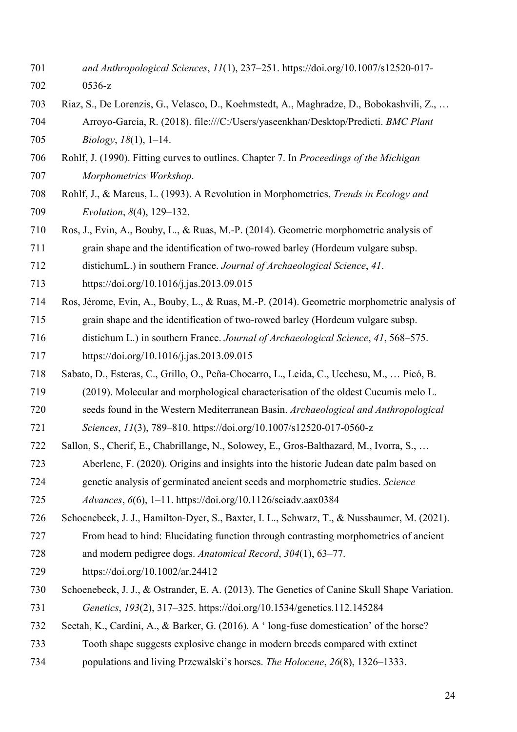- *and Anthropological Sciences*, *11*(1), 237–251. https://doi.org/10.1007/s12520-017- 0536-z
- Riaz, S., De Lorenzis, G., Velasco, D., Koehmstedt, A., Maghradze, D., Bobokashvili, Z., … Arroyo-Garcia, R. (2018). file:///C:/Users/yaseenkhan/Desktop/Predicti. *BMC Plant Biology*, *18*(1), 1–14.
- Rohlf, J. (1990). Fitting curves to outlines. Chapter 7. In *Proceedings of the Michigan Morphometrics Workshop*.
- Rohlf, J., & Marcus, L. (1993). A Revolution in Morphometrics. *Trends in Ecology and Evolution*, *8*(4), 129–132.
- Ros, J., Evin, A., Bouby, L., & Ruas, M.-P. (2014). Geometric morphometric analysis of
- grain shape and the identification of two-rowed barley (Hordeum vulgare subsp.

distichumL.) in southern France. *Journal of Archaeological Science*, *41*.

- https://doi.org/10.1016/j.jas.2013.09.015
- Ros, Jérome, Evin, A., Bouby, L., & Ruas, M.-P. (2014). Geometric morphometric analysis of
- grain shape and the identification of two-rowed barley (Hordeum vulgare subsp.
- distichum L.) in southern France. *Journal of Archaeological Science*, *41*, 568–575.
- https://doi.org/10.1016/j.jas.2013.09.015
- Sabato, D., Esteras, C., Grillo, O., Peña-Chocarro, L., Leida, C., Ucchesu, M., … Picó, B.
- (2019). Molecular and morphological characterisation of the oldest Cucumis melo L.
- seeds found in the Western Mediterranean Basin. *Archaeological and Anthropological Sciences*, *11*(3), 789–810. https://doi.org/10.1007/s12520-017-0560-z
- Sallon, S., Cherif, E., Chabrillange, N., Solowey, E., Gros-Balthazard, M., Ivorra, S., …
- Aberlenc, F. (2020). Origins and insights into the historic Judean date palm based on
- genetic analysis of germinated ancient seeds and morphometric studies. *Science*
- *Advances*, *6*(6), 1–11. https://doi.org/10.1126/sciadv.aax0384
- Schoenebeck, J. J., Hamilton-Dyer, S., Baxter, I. L., Schwarz, T., & Nussbaumer, M. (2021).
- From head to hind: Elucidating function through contrasting morphometrics of ancient
- and modern pedigree dogs. *Anatomical Record*, *304*(1), 63–77.
- https://doi.org/10.1002/ar.24412
- Schoenebeck, J. J., & Ostrander, E. A. (2013). The Genetics of Canine Skull Shape Variation. *Genetics*, *193*(2), 317–325. https://doi.org/10.1534/genetics.112.145284
- Seetah, K., Cardini, A., & Barker, G. (2016). A ' long-fuse domestication' of the horse?
- Tooth shape suggests explosive change in modern breeds compared with extinct
- populations and living Przewalski's horses. *The Holocene*, *26*(8), 1326–1333.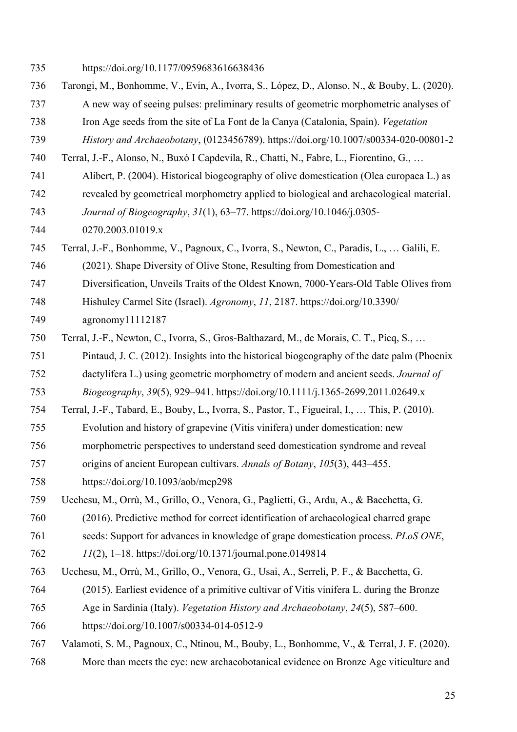- https://doi.org/10.1177/0959683616638436
- Tarongi, M., Bonhomme, V., Evin, A., Ivorra, S., López, D., Alonso, N., & Bouby, L. (2020).
- A new way of seeing pulses: preliminary results of geometric morphometric analyses of
- Iron Age seeds from the site of La Font de la Canya (Catalonia, Spain). *Vegetation*
- *History and Archaeobotany*, (0123456789). https://doi.org/10.1007/s00334-020-00801-2
- Terral, J.-F., Alonso, N., Buxó I Capdevila, R., Chatti, N., Fabre, L., Fiorentino, G., …
- Alibert, P. (2004). Historical biogeography of olive domestication (Olea europaea L.) as
- revealed by geometrical morphometry applied to biological and archaeological material.
- *Journal of Biogeography*, *31*(1), 63–77. https://doi.org/10.1046/j.0305-
- 0270.2003.01019.x
- Terral, J.-F., Bonhomme, V., Pagnoux, C., Ivorra, S., Newton, C., Paradis, L., … Galili, E.
- (2021). Shape Diversity of Olive Stone, Resulting from Domestication and
- Diversification, Unveils Traits of the Oldest Known, 7000-Years-Old Table Olives from
- Hishuley Carmel Site (Israel). *Agronomy*, *11*, 2187. https://doi.org/10.3390/
- agronomy11112187
- Terral, J.-F., Newton, C., Ivorra, S., Gros-Balthazard, M., de Morais, C. T., Picq, S., …
- Pintaud, J. C. (2012). Insights into the historical biogeography of the date palm (Phoenix
- dactylifera L.) using geometric morphometry of modern and ancient seeds. *Journal of*
- *Biogeography*, *39*(5), 929–941. https://doi.org/10.1111/j.1365-2699.2011.02649.x
- Terral, J.-F., Tabard, E., Bouby, L., Ivorra, S., Pastor, T., Figueiral, I., … This, P. (2010).
- Evolution and history of grapevine (Vitis vinifera) under domestication: new
- morphometric perspectives to understand seed domestication syndrome and reveal
- origins of ancient European cultivars. *Annals of Botany*, *105*(3), 443–455.
- https://doi.org/10.1093/aob/mcp298
- Ucchesu, M., Orrù, M., Grillo, O., Venora, G., Paglietti, G., Ardu, A., & Bacchetta, G.
- (2016). Predictive method for correct identification of archaeological charred grape
- seeds: Support for advances in knowledge of grape domestication process. *PLoS ONE*,
- *11*(2), 1–18. https://doi.org/10.1371/journal.pone.0149814
- Ucchesu, M., Orrù, M., Grillo, O., Venora, G., Usai, A., Serreli, P. F., & Bacchetta, G.
- (2015). Earliest evidence of a primitive cultivar of Vitis vinifera L. during the Bronze
- Age in Sardinia (Italy). *Vegetation History and Archaeobotany*, *24*(5), 587–600.
- https://doi.org/10.1007/s00334-014-0512-9
- Valamoti, S. M., Pagnoux, C., Ntinou, M., Bouby, L., Bonhomme, V., & Terral, J. F. (2020).
- More than meets the eye: new archaeobotanical evidence on Bronze Age viticulture and